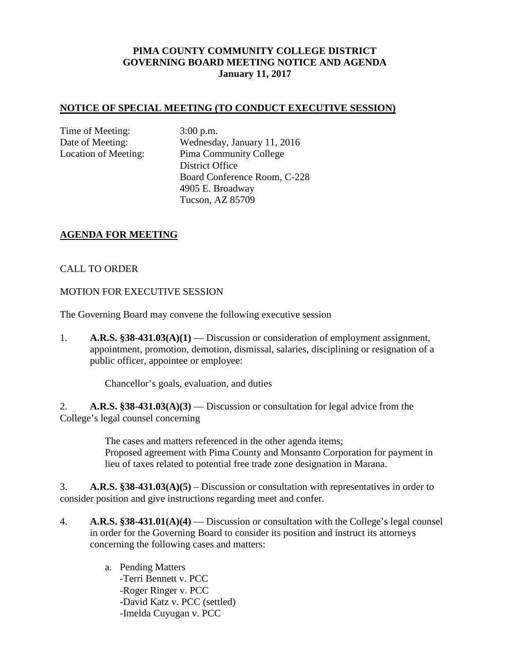# **PIMA COUNTY COMMUNITY COLLEGE DISTRICT GOVERNING BOARD MEETING NOTICE AND AGENDA January 11, 2017**

## **NOTICE OF SPECIAL MEETING (TO CONDUCT EXECUTIVE SESSION)**

Time of Meeting: 3:00 p.m.

Date of Meeting: Wednesday, January 11, 2016 Location of Meeting: Pima Community College District Office Board Conference Room, C-228 4905 E. Broadway Tucson, AZ 85709

## **AGENDA FOR MEETING**

## CALL TO ORDER

MOTION FOR EXECUTIVE SESSION

The Governing Board may convene the following executive session

1. **A.R.S. §38-431.03(A)(1)** — Discussion or consideration of employment assignment, appointment, promotion, demotion, dismissal, salaries, disciplining or resignation of a public officer, appointee or employee:

Chancellor's goals, evaluation, and duties

2. **A.R.S. §38-431.03(A)(3)** — Discussion or consultation for legal advice from the College's legal counsel concerning

> The cases and matters referenced in the other agenda items; Proposed agreement with Pima County and Monsanto Corporation for payment in lieu of taxes related to potential free trade zone designation in Marana.

3. **A.R.S. §38-431.03(A)(5)** – Discussion or consultation with representatives in order to consider position and give instructions regarding meet and confer.

- 4. **A.R.S. §38-431.01(A)(4)** Discussion or consultation with the College's legal counsel in order for the Governing Board to consider its position and instruct its attorneys concerning the following cases and matters:
	- a. Pending Matters -Terri Bennett v. PCC -Roger Ringer v. PCC -David Katz v. PCC (settled) -Imelda Cuyugan v. PCC